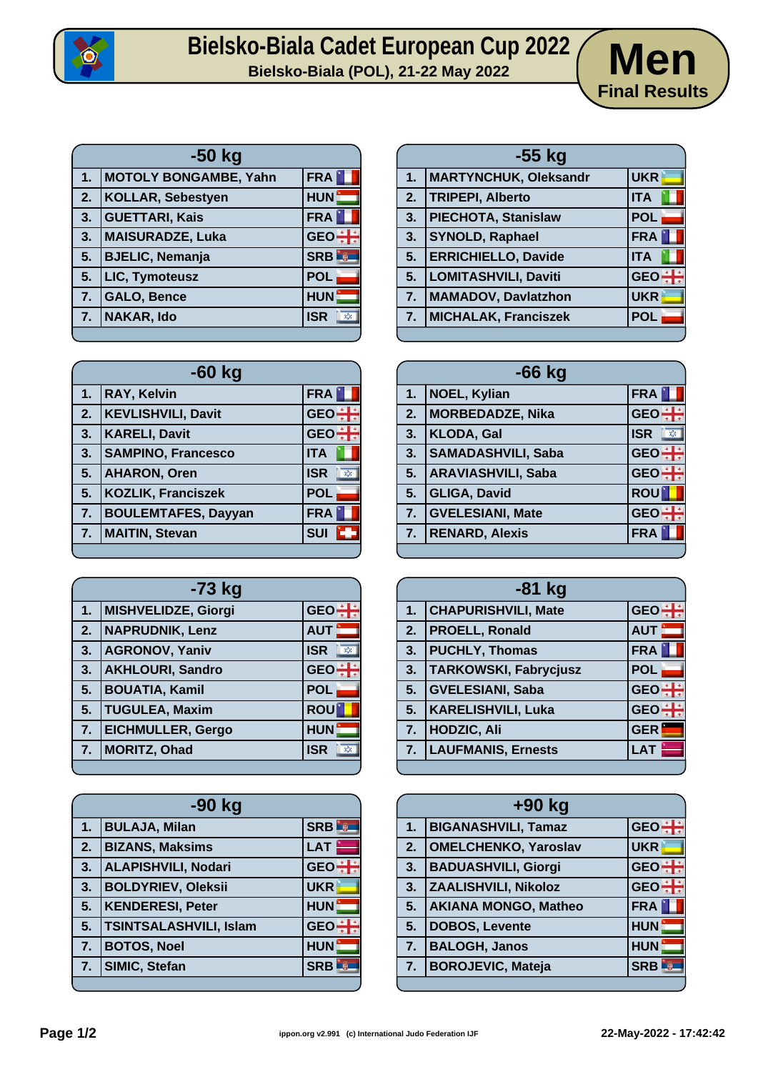

## Bielsko-Biala Cadet European Cup 2022<br>Bielsko-Biala (POL), 21-22 May 2022<br>**Men**



| $-50$ kg       |                              |                   |
|----------------|------------------------------|-------------------|
| 1.             | <b>MOTOLY BONGAMBE, Yahn</b> | <b>FRA</b>        |
| 2.             | <b>KOLLAR, Sebestyen</b>     | <b>HUN</b>        |
| 3.             | <b>GUETTARI, Kais</b>        | <b>FRA</b>        |
| 3.             | <b>MAISURADZE, Luka</b>      | $GEO \div$        |
| 5.             | <b>BJELIC, Nemanja</b>       | <b>SRB</b>        |
| 5.             | LIC, Tymoteusz               | <b>POL</b>        |
| 7.             | <b>GALO, Bence</b>           | <b>HUN</b>        |
| 7 <sub>1</sub> | NAKAR, Ido                   | <b>ISR</b><br>X). |
|                |                              |                   |

| .  | OALV, DEIIVE               | пом                        | . . |
|----|----------------------------|----------------------------|-----|
| 7. | <b>NAKAR, Ido</b>          | <b>ISR</b><br>$\mathbf{X}$ | 7.  |
|    |                            |                            |     |
|    | $-60$ kg                   |                            |     |
|    |                            |                            |     |
| 1. | <b>RAY, Kelvin</b>         | <b>FRA</b>                 | 1.  |
| 2. | <b>KEVLISHVILI, Davit</b>  | GEO - H                    | 2.  |
| 3. | <b>KARELI, Davit</b>       | GEO <sup>:</sup>           | 3.  |
| 3. | <b>SAMPINO, Francesco</b>  | <b>ITA</b>                 | 3.  |
| 5. | <b>AHARON, Oren</b>        | <b>ISR</b><br>$\chi$       | 5.  |
| 5. | <b>KOZLIK, Franciszek</b>  | <b>POL</b>                 | 5.  |
| 7. | <b>BOULEMTAFES, Dayyan</b> | <b>FRA</b>                 | 7.  |

Е

|    | $-73$ kg                   |                                         |
|----|----------------------------|-----------------------------------------|
| 1. | <b>MISHVELIDZE, Giorgi</b> | <b>GEO</b>                              |
| 2. | <b>NAPRUDNIK, Lenz</b>     | <b>AUT</b>                              |
| 3. | <b>AGRONOV, Yaniv</b>      | <b>ISR</b><br>$\ensuremath{\mathbf{X}}$ |
| 3. | <b>AKHLOURI, Sandro</b>    | <b>GEO</b>                              |
| 5. | <b>BOUATIA, Kamil</b>      | <b>POL</b>                              |
| 5. | <b>TUGULEA, Maxim</b>      | <b>ROU</b>                              |
| 7. | <b>EICHMULLER, Gergo</b>   | <b>HUN</b>                              |
| 7. | <b>MORITZ, Ohad</b>        | <b>ISR</b>                              |
|    |                            |                                         |

**7. MAITIN, Stevan SUI** 

| -90 kg           |                               |            |
|------------------|-------------------------------|------------|
| 1.               | <b>BULAJA, Milan</b>          | <b>SRB</b> |
| $\overline{2}$ . | <b>BIZANS, Maksims</b>        | <b>LAT</b> |
| 3.               | <b>ALAPISHVILI, Nodari</b>    | GEO $\div$ |
| 3.               | <b>BOLDYRIEV, Oleksii</b>     | <b>UKR</b> |
| 5.               | <b>KENDERESI, Peter</b>       | <b>HUN</b> |
| 5.               | <b>TSINTSALASHVILI, Islam</b> | GEO $\div$ |
| 7.               | <b>BOTOS, Noel</b>            | <b>HUN</b> |
| 7.               | <b>SIMIC, Stefan</b>          | <b>SRB</b> |
|                  |                               |            |

| -55 kg |                            |            |  |
|--------|----------------------------|------------|--|
| 1.     | MARTYNCHUK, Oleksandr      | <b>UKR</b> |  |
| 2.     | <b>TRIPEPI, Alberto</b>    | <b>ITA</b> |  |
| 3.     | PIECHOTA, Stanislaw        | <b>POL</b> |  |
| 3.     | <b>SYNOLD, Raphael</b>     | <b>FRA</b> |  |
| 5.     | <b>ERRICHIELLO, Davide</b> | <b>ITA</b> |  |
| 5.     | LOMITASHVILI, Daviti       | <b>GEO</b> |  |
| 7.     | <b>MAMADOV, Daviatzhon</b> | <b>UKR</b> |  |
| 7.     | MICHALAK, Franciszek       | <b>POL</b> |  |
|        |                            |            |  |

| $-66$ kg |                           |                     |
|----------|---------------------------|---------------------|
| 1.       | <b>NOEL, Kylian</b>       | <b>FRA</b>          |
| 2.       | MORBEDADZE, Nika          | $GEO +$             |
| 3.       | KLODA, Gal                | <b>ISR</b><br>$\gg$ |
| 3.       | SAMADASHVILI, Saba        | $GEO +$             |
| 5.       | <b>ARAVIASHVILI, Saba</b> | GEO <sup>+</sup>    |
| 5.       | <b>GLIGA, David</b>       | <b>ROU</b>          |
| 7.       | <b>GVELESIANI, Mate</b>   | <b>GEO</b>          |
| 7.       | <b>RENARD, Alexis</b>     | <b>FRA</b>          |
|          |                           |                     |

| $-81$ kg |                              |                  |
|----------|------------------------------|------------------|
| 1.       | <b>CHAPURISHVILI, Mate</b>   | GEO <sup>+</sup> |
|          | 2.   PROELL, Ronald          | <b>AUT</b>       |
|          | 3. PUCHLY, Thomas            | <b>FRA</b>       |
| 3.       | <b>TARKOWSKI, Fabrycjusz</b> | <b>POL</b>       |
| 5.       | <b>GVELESIANI, Saba</b>      | $GEO +$          |
| 5.       | <b>KARELISHVILI, Luka</b>    | <b>GEO</b>       |
| 7.       | <b>HODZIC, Ali</b>           | <b>GER</b>       |
| 7.       | <b>LAUFMANIS, Ernests</b>    | <b>LAT</b>       |
|          |                              |                  |

|    | +90 kg                      |            |  |
|----|-----------------------------|------------|--|
| 1. | <b>BIGANASHVILI, Tamaz</b>  | $GEO -$    |  |
| 2. | <b>OMELCHENKO, Yaroslav</b> | <b>UKR</b> |  |
| 3. | <b>BADUASHVILI, Giorgi</b>  | $GEO \div$ |  |
| 3. | <b>ZAALISHVILI, Nikoloz</b> | <b>GEO</b> |  |
| 5. | <b>AKIANA MONGO, Matheo</b> | <b>FRA</b> |  |
| 5. | <b>DOBOS, Levente</b>       | <b>HUN</b> |  |
| 7. | <b>BALOGH, Janos</b>        | <b>HUN</b> |  |
| 7. | <b>BOROJEVIC, Mateja</b>    | <b>SRB</b> |  |